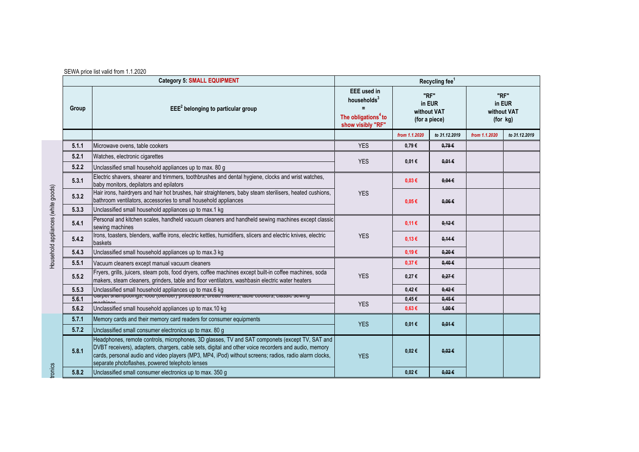| <b>Category 5: SMALL EQUIPMENT</b><br>Recycling fee <sup>1</sup> |                                                                                                                                                                                                                                                                                                                                                                    |                                                                                                                   |                                                |               |                                           |               |
|------------------------------------------------------------------|--------------------------------------------------------------------------------------------------------------------------------------------------------------------------------------------------------------------------------------------------------------------------------------------------------------------------------------------------------------------|-------------------------------------------------------------------------------------------------------------------|------------------------------------------------|---------------|-------------------------------------------|---------------|
| Group                                                            | $EEE2$ belonging to particular group                                                                                                                                                                                                                                                                                                                               | <b>EEE</b> used in<br>households <sup>3</sup><br>$\equiv$<br>The obligations <sup>4</sup> to<br>show visibly "RF" | "RF"<br>in EUR<br>without VAT<br>(for a piece) |               | "RF"<br>in EUR<br>without VAT<br>(for kg) |               |
|                                                                  |                                                                                                                                                                                                                                                                                                                                                                    |                                                                                                                   | from 1.1.2020                                  | to 31.12.2019 | from 1.1.2020                             | to 31.12.2019 |
| 5.1.1                                                            | Microwave ovens, table cookers                                                                                                                                                                                                                                                                                                                                     | <b>YES</b>                                                                                                        | 0.79E                                          | 0.79E         |                                           |               |
| 5.2.1                                                            | Watches, electronic cigarettes                                                                                                                                                                                                                                                                                                                                     | <b>YES</b>                                                                                                        |                                                | $0,01 \in$    |                                           |               |
| 5.2.2                                                            | Unclassified small household appliances up to max. 80 g                                                                                                                                                                                                                                                                                                            |                                                                                                                   | 0,01€                                          |               |                                           |               |
| 5.3.1                                                            | Electric shavers, shearer and trimmers, toothbrushes and dental hygiene, clocks and wrist watches,<br>baby monitors, depilators and epilators                                                                                                                                                                                                                      | <b>YES</b>                                                                                                        | $0.03 \in$                                     | 0.04E         |                                           |               |
| 5.3.2                                                            | Hair irons, hairdryers and hair hot brushes, hair straighteners, baby steam sterilisers, heated cushions,<br>bathroom ventilators, accessories to small household appliances                                                                                                                                                                                       |                                                                                                                   | 0.05E                                          | $0.06 \in$    |                                           |               |
| 5.3.3                                                            | Unclassified small household appliances up to max.1 kg                                                                                                                                                                                                                                                                                                             |                                                                                                                   |                                                |               |                                           |               |
| 5.4.1                                                            | Personal and kitchen scales, handheld vacuum cleaners and handheld sewing machines except classic<br>sewing machines                                                                                                                                                                                                                                               |                                                                                                                   | 0,11€                                          | $0.12 \in$    |                                           |               |
| 5.4.2                                                            | Irons, toasters, blenders, waffle irons, electric kettles, humidifiers, slicers and electric knives, electric<br>baskets                                                                                                                                                                                                                                           | <b>YES</b>                                                                                                        | 0,13€                                          | $0,14 \in$    |                                           |               |
| 5.4.3                                                            | Unclassified small household appliances up to max.3 kg                                                                                                                                                                                                                                                                                                             |                                                                                                                   | 0.19E                                          | $0.20 \in$    |                                           |               |
| 5.5.1                                                            | Vacuum cleaners except manual vacuum cleaners                                                                                                                                                                                                                                                                                                                      |                                                                                                                   | $0.37 \in$                                     | $0,40 \in$    |                                           |               |
| 5.5.2                                                            | Fryers, grills, juicers, steam pots, food dryers, coffee machines except built-in coffee machines, soda<br>makers, steam cleaners, grinders, table and floor ventilators, washbasin electric water heaters                                                                                                                                                         | <b>YES</b>                                                                                                        | 0,27€                                          | $0,27 \in$    |                                           |               |
| 5.5.3                                                            | Unclassified small household appliances up to max.6 kg                                                                                                                                                                                                                                                                                                             |                                                                                                                   | $0,42 \in$                                     | $0,42 \in$    |                                           |               |
| 5.6.1                                                            | <u>Carpet snampoomigs, ioou (pienuer) processors, preau makers, table cookers, classic sewing</u>                                                                                                                                                                                                                                                                  | <b>YES</b>                                                                                                        | $0.45 \in$                                     | 0.45E         |                                           |               |
| 5.6.2                                                            | Unclassified small household appliances up to max.10 kg                                                                                                                                                                                                                                                                                                            |                                                                                                                   | $0.63 \in$                                     | 4,00€         |                                           |               |
| 5.7.1                                                            | Memory cards and their memory card readers for consumer equipments                                                                                                                                                                                                                                                                                                 | <b>YES</b>                                                                                                        | 0,01€                                          | $0.01 \in$    |                                           |               |
| 5.7.2                                                            | Unclassified small consumer electronics up to max. 80 g                                                                                                                                                                                                                                                                                                            |                                                                                                                   |                                                |               |                                           |               |
| 5.8.1                                                            | Headphones, remote controls, microphones, 3D glasses, TV and SAT componets (except TV, SAT and<br>DVBT receivers), adapters, chargers, cable sets, digital and other voice recorders and audio, memory<br>cards, personal audio and video players (MP3, MP4, iPod) without screens; radios, radio alarm clocks,<br>separate photoflashes, powered telephoto lenses | <b>YES</b>                                                                                                        | $0,02 \in$                                     | $0.02 \in$    |                                           |               |
| 5.8.2                                                            | Unclassified small consumer electronics up to max. 350 g                                                                                                                                                                                                                                                                                                           |                                                                                                                   | $0,02 \in$                                     | 0.02E         |                                           |               |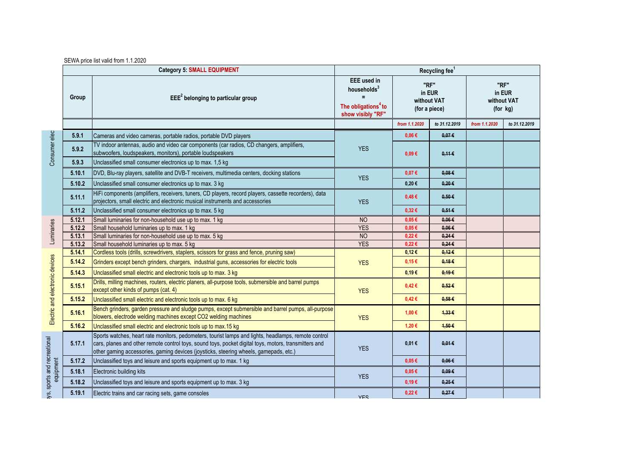| SEWA price list valid from 1.1.2020 |  |  |  |
|-------------------------------------|--|--|--|
|-------------------------------------|--|--|--|

|                                          |        | <b>Category 5: SMALL EQUIPMENT</b>                                                                                                                                                                                                                                                                     | Recycling fee <sup>1</sup>                                                                                                                              |               |                 |                                           |               |
|------------------------------------------|--------|--------------------------------------------------------------------------------------------------------------------------------------------------------------------------------------------------------------------------------------------------------------------------------------------------------|---------------------------------------------------------------------------------------------------------------------------------------------------------|---------------|-----------------|-------------------------------------------|---------------|
|                                          | Group  | $EEE2$ belonging to particular group                                                                                                                                                                                                                                                                   | <b>EEE</b> used in<br>"RF"<br>households <sup>3</sup><br>in EUR<br>without VAT<br>The obligations <sup>4</sup> to<br>(for a piece)<br>show visibly "RF" |               |                 | "RF"<br>in EUR<br>without VAT<br>(for kg) |               |
|                                          |        |                                                                                                                                                                                                                                                                                                        |                                                                                                                                                         | from 1.1.2020 | to 31.12.2019   | from 1.1.2020                             | to 31.12.2019 |
| Consumer elect                           | 5.9.1  | Cameras and video cameras, portable radios, portable DVD players                                                                                                                                                                                                                                       |                                                                                                                                                         | $0.06 \in$    | 0.07E           |                                           |               |
|                                          | 5.9.2  | TV indoor antennas, audio and video car components (car radios, CD changers, amplifiers,<br>subwoofers, loudspeakers, monitors), portable loudspeakers                                                                                                                                                 | <b>YES</b>                                                                                                                                              | $0.09 \in$    | 0,116           |                                           |               |
|                                          | 5.9.3  | Unclassified small consumer electronics up to max. 1,5 kg                                                                                                                                                                                                                                              |                                                                                                                                                         |               |                 |                                           |               |
|                                          | 5.10.1 | DVD, Blu-ray players, satellite and DVB-T receivers, multimedia centers, docking stations                                                                                                                                                                                                              | <b>YES</b>                                                                                                                                              | 0,07€         | 0.08E           |                                           |               |
|                                          | 5.10.2 | Unclassified small consumer electronics up to max. 3 kg                                                                                                                                                                                                                                                |                                                                                                                                                         | 0,20€         | $0.20 \in$      |                                           |               |
|                                          | 5.11.1 | HiFi components (amplifiers, receivers, tuners, CD players, record players, cassette recorders), data<br>projectors, small electric and electronic musical instruments and accessories                                                                                                                 | <b>YES</b>                                                                                                                                              | 0,48€         | $0.50 \in$      |                                           |               |
|                                          | 5.11.2 | Unclassified small consumer electronics up to max. 5 kg                                                                                                                                                                                                                                                |                                                                                                                                                         | $0,32 \in$    | $0.51 \in$      |                                           |               |
|                                          | 5.12.1 | Small luminaries for non-household use up to max. 1 kg                                                                                                                                                                                                                                                 | <b>NO</b>                                                                                                                                               | $0.05 \in$    | 0.06E           |                                           |               |
|                                          | 5.12.2 | Small household luminaries up to max. 1 kg                                                                                                                                                                                                                                                             | <b>YES</b>                                                                                                                                              | $0,05 \in$    | $0,06 \in$      |                                           |               |
| Luminaries                               | 5.13.1 | Small luminaries for non-household use up to max. 5 kg                                                                                                                                                                                                                                                 | <b>NO</b>                                                                                                                                               | $0,22 \in$    | $0,24 \in$      |                                           |               |
|                                          | 5.13.2 | Small household luminaries up to max. 5 kg                                                                                                                                                                                                                                                             | <b>YES</b>                                                                                                                                              | $0,22 \in$    | $0,24 \in$      |                                           |               |
|                                          | 5.14.1 | Cordless tools (drills, screwdrivers, staplers, scissors for grass and fence, pruning saw)                                                                                                                                                                                                             |                                                                                                                                                         | 0,12€         | $0,12 \in$      |                                           |               |
|                                          | 5.14.2 | Grinders except bench grinders, chargers, industrial guns, accessories for electric tools                                                                                                                                                                                                              | <b>YES</b>                                                                                                                                              | 0,15€         | 0,18E           |                                           |               |
|                                          | 5.14.3 | Unclassified small electric and electronic tools up to max. 3 kg                                                                                                                                                                                                                                       |                                                                                                                                                         | 0,19€         | 0,196           |                                           |               |
|                                          | 5.15.1 | Drills, milling machines, routers, electric planers, all-purpose tools, submersible and barrel pumps<br>except other kinds of pumps (cat. 4)                                                                                                                                                           | <b>YES</b>                                                                                                                                              | 0,42€         | $0.52 \epsilon$ |                                           |               |
|                                          | 5.15.2 | Unclassified small electric and electronic tools up to max. 6 kg                                                                                                                                                                                                                                       |                                                                                                                                                         | 0,42€         | 0.58E           |                                           |               |
| Electric and electronic devices          | 5.16.1 | Bench grinders, garden pressure and sludge pumps, except submersible and barrel pumps, all-purpose<br>blowers, electrode welding machines except CO2 welding machines                                                                                                                                  | <b>YES</b>                                                                                                                                              | 1,00 €        | 4,336           |                                           |               |
|                                          | 5.16.2 | Unclassified small electric and electronic tools up to max.15 kg                                                                                                                                                                                                                                       |                                                                                                                                                         | 1,20€         | 4,50€           |                                           |               |
|                                          | 5.17.1 | Sports watches, heart rate monitors, pedometers, tourist lamps and lights, headlamps, remote control<br>cars, planes and other remote control toys, sound toys, pocket digital toys, motors, transmitters and<br>other gaming accessories, gaming devices (joysticks, steering wheels, gamepads, etc.) | <b>YES</b>                                                                                                                                              | 0,01€         | $0.01 \in$      |                                           |               |
| ys, sports and recreational<br>equipment | 5.17.2 | Unclassified toys and leisure and sports equipment up to max. 1 kg                                                                                                                                                                                                                                     |                                                                                                                                                         | 0.05E         | 0.06E           |                                           |               |
|                                          | 5.18.1 | Electronic building kits                                                                                                                                                                                                                                                                               |                                                                                                                                                         | $0.05 \in$    | $0.09 \in$      |                                           |               |
|                                          | 5.18.2 | Unclassified toys and leisure and sports equipment up to max. 3 kg                                                                                                                                                                                                                                     | <b>YES</b>                                                                                                                                              | 0.19E         | $0.25 \in$      |                                           |               |
|                                          | 5.19.1 | Electric trains and car racing sets, game consoles                                                                                                                                                                                                                                                     | <b>YES</b>                                                                                                                                              | $0,22 \in$    | $0,27 \in$      |                                           |               |